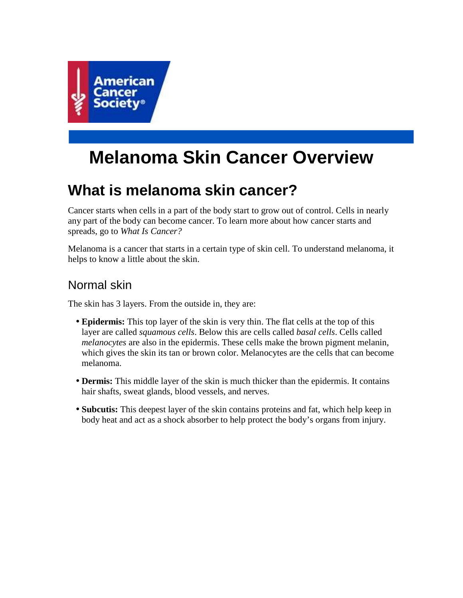

# **Melanoma Skin Cancer Overview**

# **What is melanoma skin cancer?**

Cancer starts when cells in a part of the body start to grow out of control. Cells in nearly any part of the body can become cancer. To learn more about how cancer starts and spreads, go to *What Is Cancer?*

Melanoma is a cancer that starts in a certain type of skin cell. To understand melanoma, it helps to know a little about the skin.

## Normal skin

The skin has 3 layers. From the outside in, they are:

- **Epidermis:** This top layer of the skin is very thin. The flat cells at the top of this layer are called *squamous cells*. Below this are cells called *basal cells*. Cells called *melanocytes* are also in the epidermis. These cells make the brown pigment melanin, which gives the skin its tan or brown color. Melanocytes are the cells that can become melanoma.
- **Dermis:** This middle layer of the skin is much thicker than the epidermis. It contains hair shafts, sweat glands, blood vessels, and nerves.
- **Subcutis:** This deepest layer of the skin contains proteins and fat, which help keep in body heat and act as a shock absorber to help protect the body's organs from injury.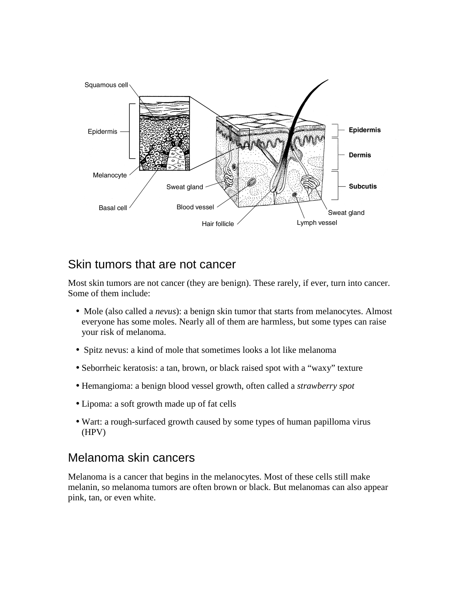

### Skin tumors that are not cancer

Most skin tumors are not cancer (they are benign). These rarely, if ever, turn into cancer. Some of them include:

- Mole (also called a *nevus*): a benign skin tumor that starts from melanocytes. Almost everyone has some moles. Nearly all of them are harmless, but some types can raise your risk of melanoma.
- Spitz nevus: a kind of mole that sometimes looks a lot like melanoma
- Seborrheic keratosis: a tan, brown, or black raised spot with a "waxy" texture
- Hemangioma: a benign blood vessel growth, often called a *strawberry spot*
- Lipoma: a soft growth made up of fat cells
- Wart: a rough-surfaced growth caused by some types of human papilloma virus (HPV)

### Melanoma skin cancers

Melanoma is a cancer that begins in the melanocytes. Most of these cells still make melanin, so melanoma tumors are often brown or black. But melanomas can also appear pink, tan, or even white.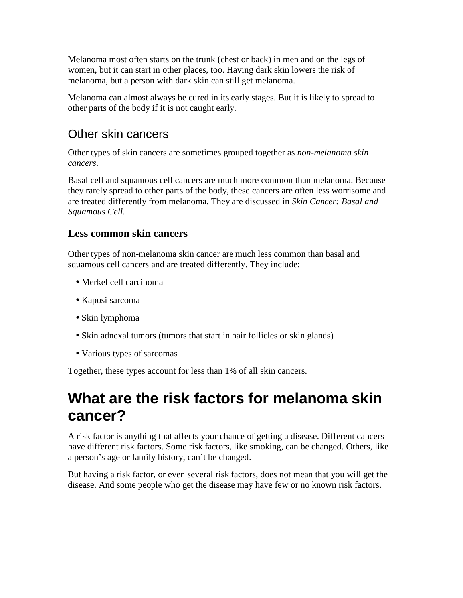Melanoma most often starts on the trunk (chest or back) in men and on the legs of women, but it can start in other places, too. Having dark skin lowers the risk of melanoma, but a person with dark skin can still get melanoma.

Melanoma can almost always be cured in its early stages. But it is likely to spread to other parts of the body if it is not caught early.

## Other skin cancers

Other types of skin cancers are sometimes grouped together as *non-melanoma skin cancers*.

Basal cell and squamous cell cancers are much more common than melanoma. Because they rarely spread to other parts of the body, these cancers are often less worrisome and are treated differently from melanoma. They are discussed in *Skin Cancer: Basal and Squamous Cell*.

#### **Less common skin cancers**

Other types of non-melanoma skin cancer are much less common than basal and squamous cell cancers and are treated differently. They include:

- Merkel cell carcinoma
- Kaposi sarcoma
- Skin lymphoma
- Skin adnexal tumors (tumors that start in hair follicles or skin glands)
- Various types of sarcomas

Together, these types account for less than 1% of all skin cancers.

## **What are the risk factors for melanoma skin cancer?**

A risk factor is anything that affects your chance of getting a disease. Different cancers have different risk factors. Some risk factors, like smoking, can be changed. Others, like a person's age or family history, can't be changed.

But having a risk factor, or even several risk factors, does not mean that you will get the disease. And some people who get the disease may have few or no known risk factors.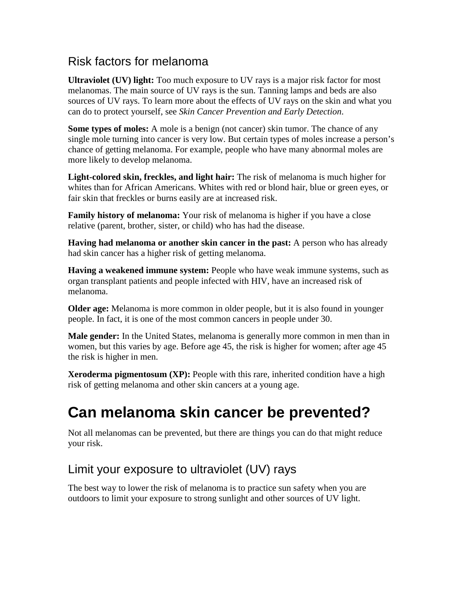## Risk factors for melanoma

**Ultraviolet (UV) light:** Too much exposure to UV rays is a major risk factor for most melanomas. The main source of UV rays is the sun. Tanning lamps and beds are also sources of UV rays. To learn more about the effects of UV rays on the skin and what you can do to protect yourself, see *Skin Cancer Prevention and Early Detection*.

**Some types of moles:** A mole is a benign (not cancer) skin tumor. The chance of any single mole turning into cancer is very low. But certain types of moles increase a person's chance of getting melanoma. For example, people who have many abnormal moles are more likely to develop melanoma.

**Light-colored skin, freckles, and light hair:** The risk of melanoma is much higher for whites than for African Americans. Whites with red or blond hair, blue or green eyes, or fair skin that freckles or burns easily are at increased risk.

**Family history of melanoma:** Your risk of melanoma is higher if you have a close relative (parent, brother, sister, or child) who has had the disease.

**Having had melanoma or another skin cancer in the past:** A person who has already had skin cancer has a higher risk of getting melanoma.

**Having a weakened immune system:** People who have weak immune systems, such as organ transplant patients and people infected with HIV, have an increased risk of melanoma.

**Older age:** Melanoma is more common in older people, but it is also found in younger people. In fact, it is one of the most common cancers in people under 30.

**Male gender:** In the United States, melanoma is generally more common in men than in women, but this varies by age. Before age 45, the risk is higher for women; after age 45 the risk is higher in men.

**Xeroderma pigmentosum (XP):** People with this rare, inherited condition have a high risk of getting melanoma and other skin cancers at a young age.

# **Can melanoma skin cancer be prevented?**

Not all melanomas can be prevented, but there are things you can do that might reduce your risk.

## Limit your exposure to ultraviolet (UV) rays

The best way to lower the risk of melanoma is to practice sun safety when you are outdoors to limit your exposure to strong sunlight and other sources of UV light.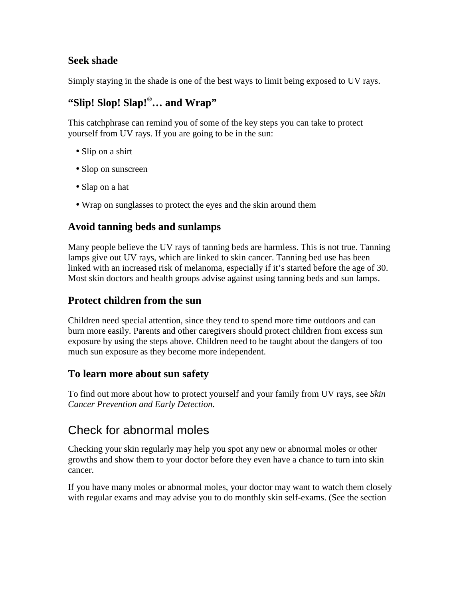#### **Seek shade**

Simply staying in the shade is one of the best ways to limit being exposed to UV rays.

## **"Slip! Slop! Slap!®… and Wrap"**

This catchphrase can remind you of some of the key steps you can take to protect yourself from UV rays. If you are going to be in the sun:

- Slip on a shirt
- Slop on sunscreen
- Slap on a hat
- Wrap on sunglasses to protect the eyes and the skin around them

#### **Avoid tanning beds and sunlamps**

Many people believe the UV rays of tanning beds are harmless. This is not true. Tanning lamps give out UV rays, which are linked to skin cancer. Tanning bed use has been linked with an increased risk of melanoma, especially if it's started before the age of 30. Most skin doctors and health groups advise against using tanning beds and sun lamps.

#### **Protect children from the sun**

Children need special attention, since they tend to spend more time outdoors and can burn more easily. Parents and other caregivers should protect children from excess sun exposure by using the steps above. Children need to be taught about the dangers of too much sun exposure as they become more independent.

#### **To learn more about sun safety**

To find out more about how to protect yourself and your family from UV rays, see *Skin Cancer Prevention and Early Detection*.

## Check for abnormal moles

Checking your skin regularly may help you spot any new or abnormal moles or other growths and show them to your doctor before they even have a chance to turn into skin cancer.

If you have many moles or abnormal moles, your doctor may want to watch them closely with regular exams and may advise you to do monthly skin self-exams. (See the section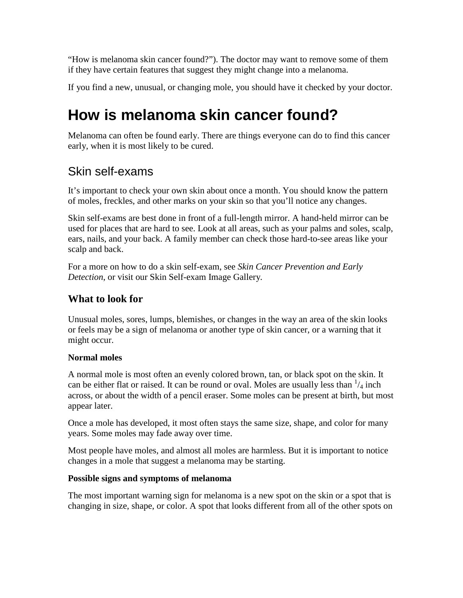"How is melanoma skin cancer found?"). The doctor may want to remove some of them if they have certain features that suggest they might change into a melanoma.

If you find a new, unusual, or changing mole, you should have it checked by your doctor.

# **How is melanoma skin cancer found?**

Melanoma can often be found early. There are things everyone can do to find this cancer early, when it is most likely to be cured.

## Skin self-exams

It's important to check your own skin about once a month. You should know the pattern of moles, freckles, and other marks on your skin so that you'll notice any changes.

Skin self-exams are best done in front of a full-length mirror. A hand-held mirror can be used for places that are hard to see. Look at all areas, such as your palms and soles, scalp, ears, nails, and your back. A family member can check those hard-to-see areas like your scalp and back.

For a more on how to do a skin self-exam, see *Skin Cancer Prevention and Early Detection*, or visit our Skin Self-exam Image Gallery*.*

### **What to look for**

Unusual moles, sores, lumps, blemishes, or changes in the way an area of the skin looks or feels may be a sign of melanoma or another type of skin cancer, or a warning that it might occur.

#### **Normal moles**

A normal mole is most often an evenly colored brown, tan, or black spot on the skin. It can be either flat or raised. It can be round or oval. Moles are usually less than  $\frac{1}{4}$  inch across, or about the width of a pencil eraser. Some moles can be present at birth, but most appear later.

Once a mole has developed, it most often stays the same size, shape, and color for many years. Some moles may fade away over time.

Most people have moles, and almost all moles are harmless. But it is important to notice changes in a mole that suggest a melanoma may be starting.

#### **Possible signs and symptoms of melanoma**

The most important warning sign for melanoma is a new spot on the skin or a spot that is changing in size, shape, or color. A spot that looks different from all of the other spots on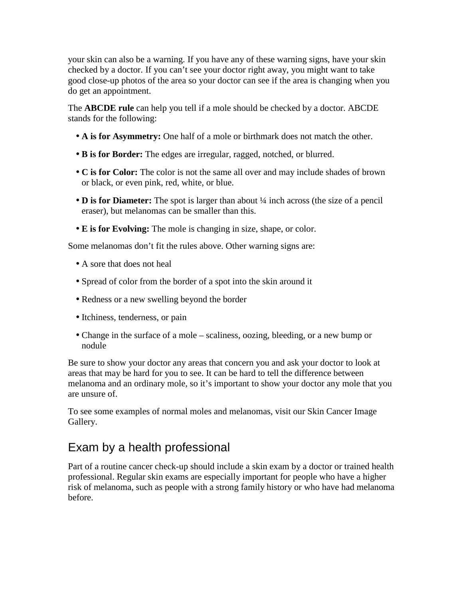your skin can also be a warning. If you have any of these warning signs, have your skin checked by a doctor. If you can't see your doctor right away, you might want to take good close-up photos of the area so your doctor can see if the area is changing when you do get an appointment.

The **ABCDE rule** can help you tell if a mole should be checked by a doctor. ABCDE stands for the following:

- **A is for Asymmetry:** One half of a mole or birthmark does not match the other.
- **B is for Border:** The edges are irregular, ragged, notched, or blurred.
- **C is for Color:** The color is not the same all over and may include shades of brown or black, or even pink, red, white, or blue.
- **D is for Diameter:** The spot is larger than about ¼ inch across (the size of a pencil eraser), but melanomas can be smaller than this.
- **E is for Evolving:** The mole is changing in size, shape, or color.

Some melanomas don't fit the rules above. Other warning signs are:

- A sore that does not heal
- Spread of color from the border of a spot into the skin around it
- Redness or a new swelling beyond the border
- Itchiness, tenderness, or pain
- Change in the surface of a mole scaliness, oozing, bleeding, or a new bump or nodule

Be sure to show your doctor any areas that concern you and ask your doctor to look at areas that may be hard for you to see. It can be hard to tell the difference between melanoma and an ordinary mole, so it's important to show your doctor any mole that you are unsure of.

To see some examples of normal moles and melanomas, visit our Skin Cancer Image Gallery.

## Exam by a health professional

Part of a routine cancer check-up should include a skin exam by a doctor or trained health professional. Regular skin exams are especially important for people who have a higher risk of melanoma, such as people with a strong family history or who have had melanoma before.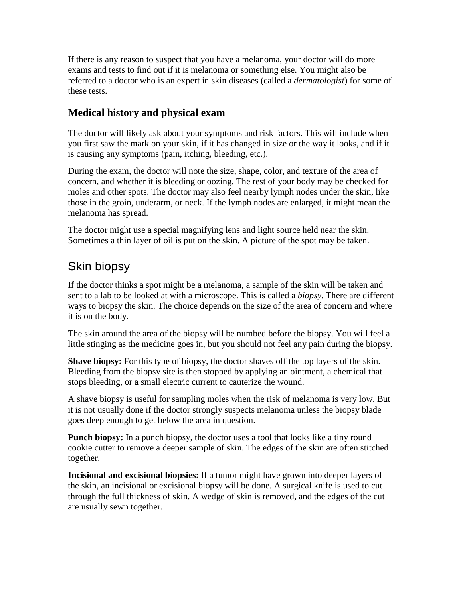If there is any reason to suspect that you have a melanoma, your doctor will do more exams and tests to find out if it is melanoma or something else. You might also be referred to a doctor who is an expert in skin diseases (called a *dermatologist*) for some of these tests.

#### **Medical history and physical exam**

The doctor will likely ask about your symptoms and risk factors. This will include when you first saw the mark on your skin, if it has changed in size or the way it looks, and if it is causing any symptoms (pain, itching, bleeding, etc.).

During the exam, the doctor will note the size, shape, color, and texture of the area of concern, and whether it is bleeding or oozing. The rest of your body may be checked for moles and other spots. The doctor may also feel nearby lymph nodes under the skin, like those in the groin, underarm, or neck. If the lymph nodes are enlarged, it might mean the melanoma has spread.

The doctor might use a special magnifying lens and light source held near the skin. Sometimes a thin layer of oil is put on the skin. A picture of the spot may be taken.

## Skin biopsy

If the doctor thinks a spot might be a melanoma, a sample of the skin will be taken and sent to a lab to be looked at with a microscope. This is called a *biopsy*. There are different ways to biopsy the skin. The choice depends on the size of the area of concern and where it is on the body.

The skin around the area of the biopsy will be numbed before the biopsy. You will feel a little stinging as the medicine goes in, but you should not feel any pain during the biopsy.

**Shave biopsy:** For this type of biopsy, the doctor shaves off the top layers of the skin. Bleeding from the biopsy site is then stopped by applying an ointment, a chemical that stops bleeding, or a small electric current to cauterize the wound.

A shave biopsy is useful for sampling moles when the risk of melanoma is very low. But it is not usually done if the doctor strongly suspects melanoma unless the biopsy blade goes deep enough to get below the area in question.

**Punch biopsy:** In a punch biopsy, the doctor uses a tool that looks like a tiny round cookie cutter to remove a deeper sample of skin. The edges of the skin are often stitched together.

**Incisional and excisional biopsies:** If a tumor might have grown into deeper layers of the skin, an incisional or excisional biopsy will be done. A surgical knife is used to cut through the full thickness of skin. A wedge of skin is removed, and the edges of the cut are usually sewn together.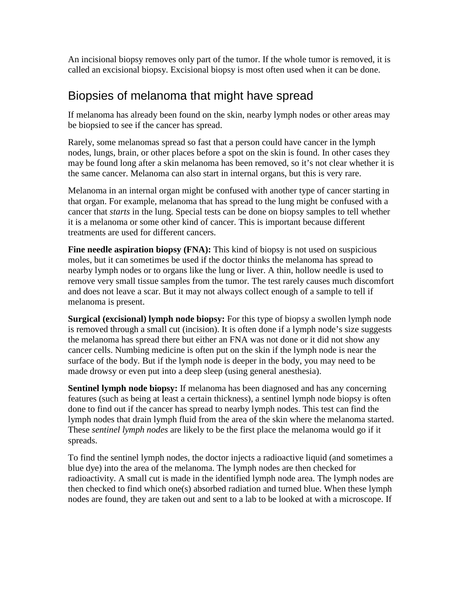An incisional biopsy removes only part of the tumor. If the whole tumor is removed, it is called an excisional biopsy. Excisional biopsy is most often used when it can be done.

## Biopsies of melanoma that might have spread

If melanoma has already been found on the skin, nearby lymph nodes or other areas may be biopsied to see if the cancer has spread.

Rarely, some melanomas spread so fast that a person could have cancer in the lymph nodes, lungs, brain, or other places before a spot on the skin is found. In other cases they may be found long after a skin melanoma has been removed, so it's not clear whether it is the same cancer. Melanoma can also start in internal organs, but this is very rare.

Melanoma in an internal organ might be confused with another type of cancer starting in that organ. For example, melanoma that has spread to the lung might be confused with a cancer that *starts* in the lung. Special tests can be done on biopsy samples to tell whether it is a melanoma or some other kind of cancer. This is important because different treatments are used for different cancers.

**Fine needle aspiration biopsy (FNA):** This kind of biopsy is not used on suspicious moles, but it can sometimes be used if the doctor thinks the melanoma has spread to nearby lymph nodes or to organs like the lung or liver. A thin, hollow needle is used to remove very small tissue samples from the tumor. The test rarely causes much discomfort and does not leave a scar. But it may not always collect enough of a sample to tell if melanoma is present.

**Surgical (excisional) lymph node biopsy:** For this type of biopsy a swollen lymph node is removed through a small cut (incision). It is often done if a lymph node's size suggests the melanoma has spread there but either an FNA was not done or it did not show any cancer cells. Numbing medicine is often put on the skin if the lymph node is near the surface of the body. But if the lymph node is deeper in the body, you may need to be made drowsy or even put into a deep sleep (using general anesthesia).

**Sentinel lymph node biopsy:** If melanoma has been diagnosed and has any concerning features (such as being at least a certain thickness), a sentinel lymph node biopsy is often done to find out if the cancer has spread to nearby lymph nodes. This test can find the lymph nodes that drain lymph fluid from the area of the skin where the melanoma started. These *sentinel lymph nodes* are likely to be the first place the melanoma would go if it spreads.

To find the sentinel lymph nodes, the doctor injects a radioactive liquid (and sometimes a blue dye) into the area of the melanoma. The lymph nodes are then checked for radioactivity. A small cut is made in the identified lymph node area. The lymph nodes are then checked to find which one(s) absorbed radiation and turned blue. When these lymph nodes are found, they are taken out and sent to a lab to be looked at with a microscope. If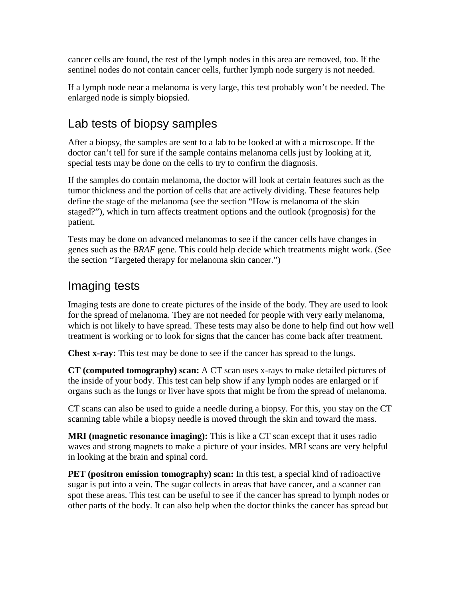cancer cells are found, the rest of the lymph nodes in this area are removed, too. If the sentinel nodes do not contain cancer cells, further lymph node surgery is not needed.

If a lymph node near a melanoma is very large, this test probably won't be needed. The enlarged node is simply biopsied.

## Lab tests of biopsy samples

After a biopsy, the samples are sent to a lab to be looked at with a microscope. If the doctor can't tell for sure if the sample contains melanoma cells just by looking at it, special tests may be done on the cells to try to confirm the diagnosis.

If the samples do contain melanoma, the doctor will look at certain features such as the tumor thickness and the portion of cells that are actively dividing. These features help define the stage of the melanoma (see the section "How is melanoma of the skin staged?"), which in turn affects treatment options and the outlook (prognosis) for the patient.

Tests may be done on advanced melanomas to see if the cancer cells have changes in genes such as the *BRAF* gene. This could help decide which treatments might work. (See the section "Targeted therapy for melanoma skin cancer.")

### Imaging tests

Imaging tests are done to create pictures of the inside of the body. They are used to look for the spread of melanoma. They are not needed for people with very early melanoma, which is not likely to have spread. These tests may also be done to help find out how well treatment is working or to look for signs that the cancer has come back after treatment.

**Chest x-ray:** This test may be done to see if the cancer has spread to the lungs.

**CT (computed tomography) scan:** A CT scan uses x-rays to make detailed pictures of the inside of your body. This test can help show if any lymph nodes are enlarged or if organs such as the lungs or liver have spots that might be from the spread of melanoma.

CT scans can also be used to guide a needle during a biopsy. For this, you stay on the CT scanning table while a biopsy needle is moved through the skin and toward the mass.

**MRI (magnetic resonance imaging):** This is like a CT scan except that it uses radio waves and strong magnets to make a picture of your insides. MRI scans are very helpful in looking at the brain and spinal cord.

**PET** (positron emission tomography) scan: In this test, a special kind of radioactive sugar is put into a vein. The sugar collects in areas that have cancer, and a scanner can spot these areas. This test can be useful to see if the cancer has spread to lymph nodes or other parts of the body. It can also help when the doctor thinks the cancer has spread but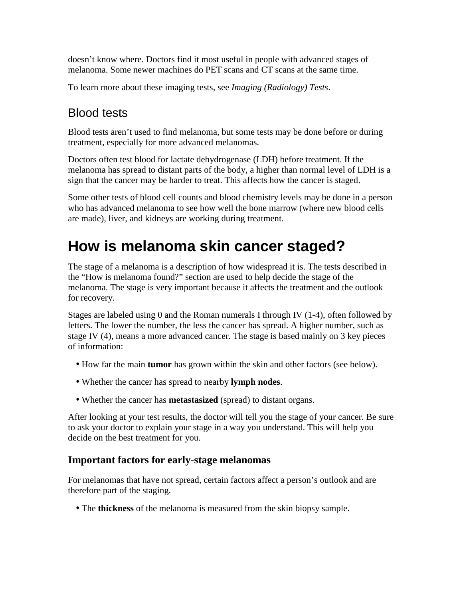doesn't know where. Doctors find it most useful in people with advanced stages of melanoma. Some newer machines do PET scans and CT scans at the same time.

To learn more about these imaging tests, see *Imaging (Radiology) Tests*.

## Blood tests

Blood tests aren't used to find melanoma, but some tests may be done before or during treatment, especially for more advanced melanomas.

Doctors often test blood for lactate dehydrogenase (LDH) before treatment. If the melanoma has spread to distant parts of the body, a higher than normal level of LDH is a sign that the cancer may be harder to treat. This affects how the cancer is staged.

Some other tests of blood cell counts and blood chemistry levels may be done in a person who has advanced melanoma to see how well the bone marrow (where new blood cells are made), liver, and kidneys are working during treatment.

# **How is melanoma skin cancer staged?**

The stage of a melanoma is a description of how widespread it is. The tests described in the "How is melanoma found?" section are used to help decide the stage of the melanoma. The stage is very important because it affects the treatment and the outlook for recovery.

Stages are labeled using 0 and the Roman numerals I through IV (1-4), often followed by letters. The lower the number, the less the cancer has spread. A higher number, such as stage IV (4), means a more advanced cancer. The stage is based mainly on 3 key pieces of information:

- How far the main **tumor** has grown within the skin and other factors (see below).
- Whether the cancer has spread to nearby **lymph nodes**.
- Whether the cancer has **metastasized** (spread) to distant organs.

After looking at your test results, the doctor will tell you the stage of your cancer. Be sure to ask your doctor to explain your stage in a way you understand. This will help you decide on the best treatment for you.

#### **Important factors for early-stage melanomas**

For melanomas that have not spread, certain factors affect a person's outlook and are therefore part of the staging.

• The **thickness** of the melanoma is measured from the skin biopsy sample.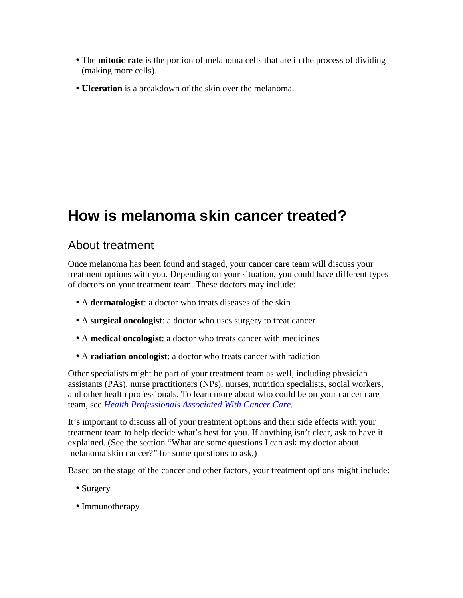- The **mitotic rate** is the portion of melanoma cells that are in the process of dividing (making more cells).
- **Ulceration** is a breakdown of the skin over the melanoma.

# **How is melanoma skin cancer treated?**

## About treatment

Once melanoma has been found and staged, your cancer care team will discuss your treatment options with you. Depending on your situation, you could have different types of doctors on your treatment team. These doctors may include:

- A **dermatologist**: a doctor who treats diseases of the skin
- A **surgical oncologist**: a doctor who uses surgery to treat cancer
- A **medical oncologist**: a doctor who treats cancer with medicines
- A **radiation oncologist**: a doctor who treats cancer with radiation

Other specialists might be part of your treatment team as well, including physician assistants (PAs), nurse practitioners (NPs), nurses, nutrition specialists, social workers, and other health professionals. To learn more about who could be on your cancer care team, see *Health Professionals Associated With Cancer Care.*

It's important to discuss all of your treatment options and their side effects with your treatment team to help decide what's best for you. If anything isn't clear, ask to have it explained. (See the section "What are some questions I can ask my doctor about melanoma skin cancer?" for some questions to ask.)

Based on the stage of the cancer and other factors, your treatment options might include:

- Surgery
- Immunotherapy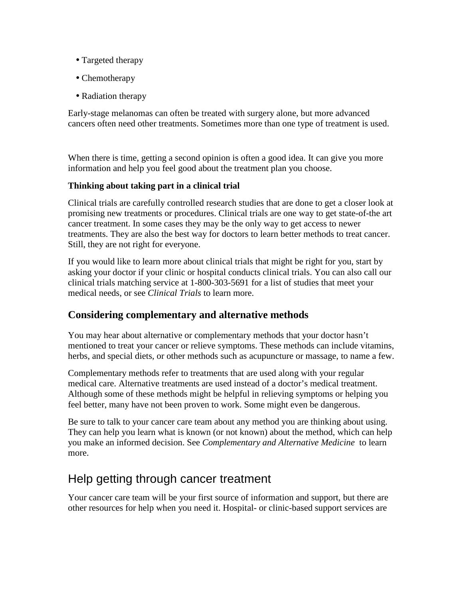- Targeted therapy
- Chemotherapy
- Radiation therapy

Early-stage melanomas can often be treated with surgery alone, but more advanced cancers often need other treatments. Sometimes more than one type of treatment is used.

When there is time, getting a second opinion is often a good idea. It can give you more information and help you feel good about the treatment plan you choose.

#### **Thinking about taking part in a clinical trial**

Clinical trials are carefully controlled research studies that are done to get a closer look at promising new treatments or procedures. Clinical trials are one way to get state-of-the art cancer treatment. In some cases they may be the only way to get access to newer treatments. They are also the best way for doctors to learn better methods to treat cancer. Still, they are not right for everyone.

If you would like to learn more about clinical trials that might be right for you, start by asking your doctor if your clinic or hospital conducts clinical trials. You can also call our clinical trials matching service at 1-800-303-5691 for a list of studies that meet your medical needs, or see *Clinical Trials* to learn more.

#### **Considering complementary and alternative methods**

You may hear about alternative or complementary methods that your doctor hasn't mentioned to treat your cancer or relieve symptoms. These methods can include vitamins, herbs, and special diets, or other methods such as acupuncture or massage, to name a few.

Complementary methods refer to treatments that are used along with your regular medical care. Alternative treatments are used instead of a doctor's medical treatment. Although some of these methods might be helpful in relieving symptoms or helping you feel better, many have not been proven to work. Some might even be dangerous.

Be sure to talk to your cancer care team about any method you are thinking about using. They can help you learn what is known (or not known) about the method, which can help you make an informed decision. See *Complementary and Alternative Medicine* to learn more.

## Help getting through cancer treatment

Your cancer care team will be your first source of information and support, but there are other resources for help when you need it. Hospital- or clinic-based support services are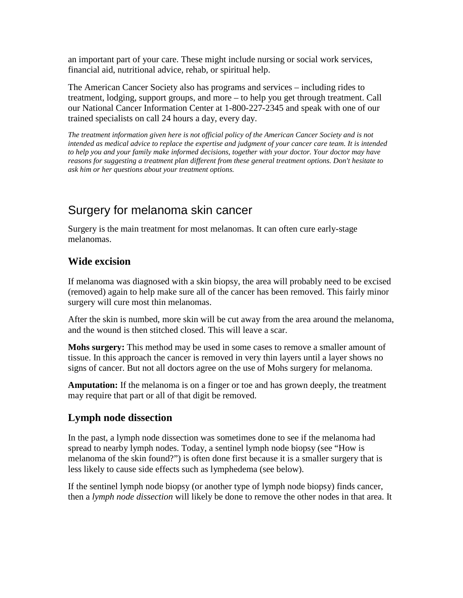an important part of your care. These might include nursing or social work services, financial aid, nutritional advice, rehab, or spiritual help.

The American Cancer Society also has programs and services – including rides to treatment, lodging, support groups, and more – to help you get through treatment. Call our National Cancer Information Center at 1-800-227-2345 and speak with one of our trained specialists on call 24 hours a day, every day.

*The treatment information given here is not official policy of the American Cancer Society and is not intended as medical advice to replace the expertise and judgment of your cancer care team. It is intended to help you and your family make informed decisions, together with your doctor. Your doctor may have reasons for suggesting a treatment plan different from these general treatment options. Don't hesitate to ask him or her questions about your treatment options.* 

## Surgery for melanoma skin cancer

Surgery is the main treatment for most melanomas. It can often cure early-stage melanomas.

#### **Wide excision**

If melanoma was diagnosed with a skin biopsy, the area will probably need to be excised (removed) again to help make sure all of the cancer has been removed. This fairly minor surgery will cure most thin melanomas.

After the skin is numbed, more skin will be cut away from the area around the melanoma, and the wound is then stitched closed. This will leave a scar.

**Mohs surgery:** This method may be used in some cases to remove a smaller amount of tissue. In this approach the cancer is removed in very thin layers until a layer shows no signs of cancer. But not all doctors agree on the use of Mohs surgery for melanoma.

**Amputation:** If the melanoma is on a finger or toe and has grown deeply, the treatment may require that part or all of that digit be removed.

#### **Lymph node dissection**

In the past, a lymph node dissection was sometimes done to see if the melanoma had spread to nearby lymph nodes. Today, a sentinel lymph node biopsy (see "How is melanoma of the skin found?") is often done first because it is a smaller surgery that is less likely to cause side effects such as lymphedema (see below).

If the sentinel lymph node biopsy (or another type of lymph node biopsy) finds cancer, then a *lymph node dissection* will likely be done to remove the other nodes in that area. It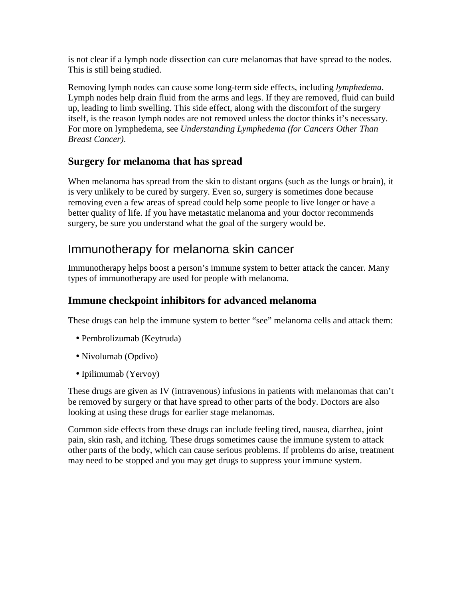is not clear if a lymph node dissection can cure melanomas that have spread to the nodes. This is still being studied.

Removing lymph nodes can cause some long-term side effects, including *lymphedema*. Lymph nodes help drain fluid from the arms and legs. If they are removed, fluid can build up, leading to limb swelling. This side effect, along with the discomfort of the surgery itself, is the reason lymph nodes are not removed unless the doctor thinks it's necessary. For more on lymphedema, see *Understanding Lymphedema (for Cancers Other Than Breast Cancer)*.

### **Surgery for melanoma that has spread**

When melanoma has spread from the skin to distant organs (such as the lungs or brain), it is very unlikely to be cured by surgery. Even so, surgery is sometimes done because removing even a few areas of spread could help some people to live longer or have a better quality of life. If you have metastatic melanoma and your doctor recommends surgery, be sure you understand what the goal of the surgery would be.

### Immunotherapy for melanoma skin cancer

Immunotherapy helps boost a person's immune system to better attack the cancer. Many types of immunotherapy are used for people with melanoma.

#### **Immune checkpoint inhibitors for advanced melanoma**

These drugs can help the immune system to better "see" melanoma cells and attack them:

- Pembrolizumab (Keytruda)
- Nivolumab (Opdivo)
- Ipilimumab (Yervoy)

These drugs are given as IV (intravenous) infusions in patients with melanomas that can't be removed by surgery or that have spread to other parts of the body. Doctors are also looking at using these drugs for earlier stage melanomas.

Common side effects from these drugs can include feeling tired, nausea, diarrhea, joint pain, skin rash, and itching. These drugs sometimes cause the immune system to attack other parts of the body, which can cause serious problems. If problems do arise, treatment may need to be stopped and you may get drugs to suppress your immune system.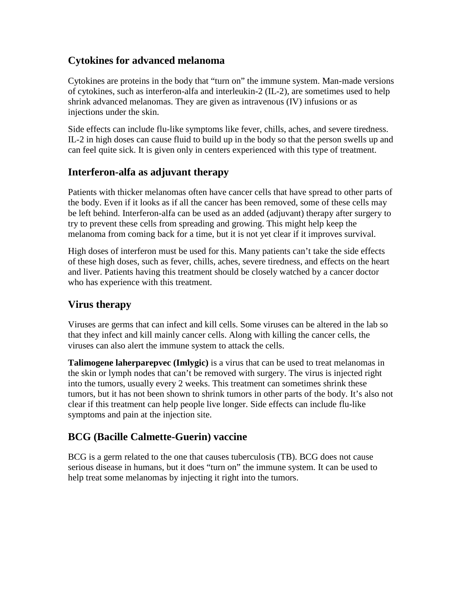#### **Cytokines for advanced melanoma**

Cytokines are proteins in the body that "turn on" the immune system. Man-made versions of cytokines, such as interferon-alfa and interleukin-2 (IL-2), are sometimes used to help shrink advanced melanomas. They are given as intravenous (IV) infusions or as injections under the skin.

Side effects can include flu-like symptoms like fever, chills, aches, and severe tiredness. IL-2 in high doses can cause fluid to build up in the body so that the person swells up and can feel quite sick. It is given only in centers experienced with this type of treatment.

#### **Interferon-alfa as adjuvant therapy**

Patients with thicker melanomas often have cancer cells that have spread to other parts of the body. Even if it looks as if all the cancer has been removed, some of these cells may be left behind. Interferon-alfa can be used as an added (adjuvant) therapy after surgery to try to prevent these cells from spreading and growing. This might help keep the melanoma from coming back for a time, but it is not yet clear if it improves survival.

High doses of interferon must be used for this. Many patients can't take the side effects of these high doses, such as fever, chills, aches, severe tiredness, and effects on the heart and liver. Patients having this treatment should be closely watched by a cancer doctor who has experience with this treatment.

#### **Virus therapy**

Viruses are germs that can infect and kill cells. Some viruses can be altered in the lab so that they infect and kill mainly cancer cells. Along with killing the cancer cells, the viruses can also alert the immune system to attack the cells.

**Talimogene laherparepvec (Imlygic)** is a virus that can be used to treat melanomas in the skin or lymph nodes that can't be removed with surgery. The virus is injected right into the tumors, usually every 2 weeks. This treatment can sometimes shrink these tumors, but it has not been shown to shrink tumors in other parts of the body. It's also not clear if this treatment can help people live longer. Side effects can include flu-like symptoms and pain at the injection site.

#### **BCG (Bacille Calmette-Guerin) vaccine**

BCG is a germ related to the one that causes tuberculosis (TB). BCG does not cause serious disease in humans, but it does "turn on" the immune system. It can be used to help treat some melanomas by injecting it right into the tumors.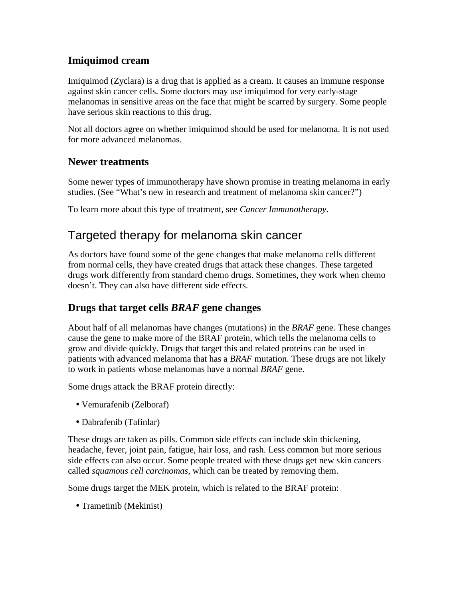#### **Imiquimod cream**

Imiquimod (Zyclara) is a drug that is applied as a cream. It causes an immune response against skin cancer cells. Some doctors may use imiquimod for very early-stage melanomas in sensitive areas on the face that might be scarred by surgery. Some people have serious skin reactions to this drug.

Not all doctors agree on whether imiquimod should be used for melanoma. It is not used for more advanced melanomas.

#### **Newer treatments**

Some newer types of immunotherapy have shown promise in treating melanoma in early studies. (See "What's new in research and treatment of melanoma skin cancer?")

To learn more about this type of treatment, see *Cancer Immunotherapy*.

## Targeted therapy for melanoma skin cancer

As doctors have found some of the gene changes that make melanoma cells different from normal cells, they have created drugs that attack these changes. These targeted drugs work differently from standard chemo drugs. Sometimes, they work when chemo doesn't. They can also have different side effects.

#### **Drugs that target cells** *BRAF* **gene changes**

About half of all melanomas have changes (mutations) in the *BRAF* gene. These changes cause the gene to make more of the BRAF protein, which tells the melanoma cells to grow and divide quickly. Drugs that target this and related proteins can be used in patients with advanced melanoma that has a *BRAF* mutation. These drugs are not likely to work in patients whose melanomas have a normal *BRAF* gene.

Some drugs attack the BRAF protein directly:

- Vemurafenib (Zelboraf)
- Dabrafenib (Tafinlar)

These drugs are taken as pills. Common side effects can include skin thickening, headache, fever, joint pain, fatigue, hair loss, and rash. Less common but more serious side effects can also occur. Some people treated with these drugs get new skin cancers called *squamous cell carcinomas*, which can be treated by removing them.

Some drugs target the MEK protein, which is related to the BRAF protein:

• Trametinib (Mekinist)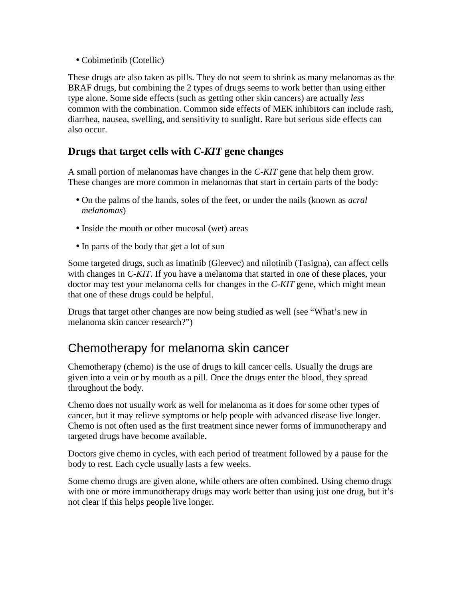• Cobimetinib (Cotellic)

These drugs are also taken as pills. They do not seem to shrink as many melanomas as the BRAF drugs, but combining the 2 types of drugs seems to work better than using either type alone. Some side effects (such as getting other skin cancers) are actually *less* common with the combination. Common side effects of MEK inhibitors can include rash, diarrhea, nausea, swelling, and sensitivity to sunlight. Rare but serious side effects can also occur.

#### **Drugs that target cells with** *C-KIT* **gene changes**

A small portion of melanomas have changes in the *C-KIT* gene that help them grow. These changes are more common in melanomas that start in certain parts of the body:

- On the palms of the hands, soles of the feet, or under the nails (known as *acral melanomas*)
- Inside the mouth or other mucosal (wet) areas
- In parts of the body that get a lot of sun

Some targeted drugs, such as imatinib (Gleevec) and nilotinib (Tasigna), can affect cells with changes in *C-KIT*. If you have a melanoma that started in one of these places, your doctor may test your melanoma cells for changes in the *C-KIT* gene, which might mean that one of these drugs could be helpful.

Drugs that target other changes are now being studied as well (see "What's new in melanoma skin cancer research?")

## Chemotherapy for melanoma skin cancer

Chemotherapy (chemo) is the use of drugs to kill cancer cells. Usually the drugs are given into a vein or by mouth as a pill. Once the drugs enter the blood, they spread throughout the body.

Chemo does not usually work as well for melanoma as it does for some other types of cancer, but it may relieve symptoms or help people with advanced disease live longer. Chemo is not often used as the first treatment since newer forms of immunotherapy and targeted drugs have become available.

Doctors give chemo in cycles, with each period of treatment followed by a pause for the body to rest. Each cycle usually lasts a few weeks.

Some chemo drugs are given alone, while others are often combined. Using chemo drugs with one or more immunotherapy drugs may work better than using just one drug, but it's not clear if this helps people live longer.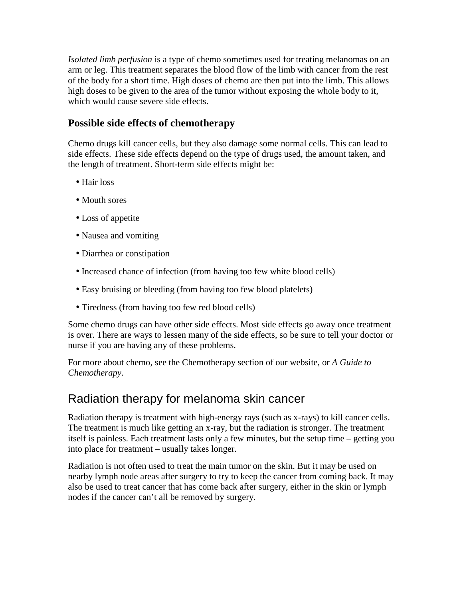*Isolated limb perfusion* is a type of chemo sometimes used for treating melanomas on an arm or leg. This treatment separates the blood flow of the limb with cancer from the rest of the body for a short time. High doses of chemo are then put into the limb. This allows high doses to be given to the area of the tumor without exposing the whole body to it, which would cause severe side effects.

#### **Possible side effects of chemotherapy**

Chemo drugs kill cancer cells, but they also damage some normal cells. This can lead to side effects. These side effects depend on the type of drugs used, the amount taken, and the length of treatment. Short-term side effects might be:

- Hair loss
- Mouth sores
- Loss of appetite
- Nausea and vomiting
- Diarrhea or constipation
- Increased chance of infection (from having too few white blood cells)
- Easy bruising or bleeding (from having too few blood platelets)
- Tiredness (from having too few red blood cells)

Some chemo drugs can have other side effects. Most side effects go away once treatment is over. There are ways to lessen many of the side effects, so be sure to tell your doctor or nurse if you are having any of these problems.

For more about chemo, see the Chemotherapy section of our website, or *A Guide to Chemotherapy*.

### Radiation therapy for melanoma skin cancer

Radiation therapy is treatment with high-energy rays (such as x-rays) to kill cancer cells. The treatment is much like getting an x-ray, but the radiation is stronger. The treatment itself is painless. Each treatment lasts only a few minutes, but the setup time – getting you into place for treatment – usually takes longer.

Radiation is not often used to treat the main tumor on the skin. But it may be used on nearby lymph node areas after surgery to try to keep the cancer from coming back. It may also be used to treat cancer that has come back after surgery, either in the skin or lymph nodes if the cancer can't all be removed by surgery.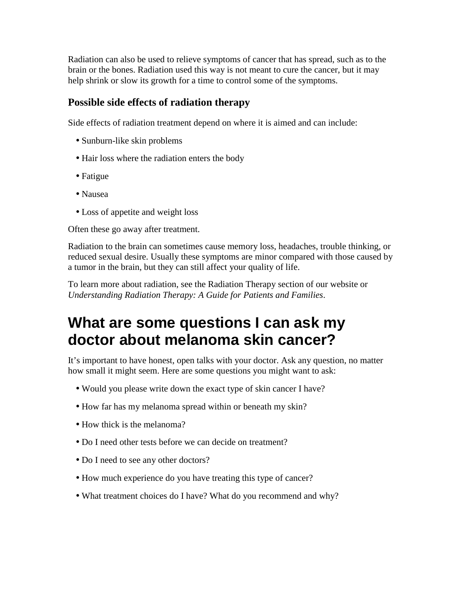Radiation can also be used to relieve symptoms of cancer that has spread, such as to the brain or the bones. Radiation used this way is not meant to cure the cancer, but it may help shrink or slow its growth for a time to control some of the symptoms.

#### **Possible side effects of radiation therapy**

Side effects of radiation treatment depend on where it is aimed and can include:

- Sunburn-like skin problems
- Hair loss where the radiation enters the body
- Fatigue
- Nausea
- Loss of appetite and weight loss

Often these go away after treatment.

Radiation to the brain can sometimes cause memory loss, headaches, trouble thinking, or reduced sexual desire. Usually these symptoms are minor compared with those caused by a tumor in the brain, but they can still affect your quality of life.

To learn more about radiation, see the Radiation Therapy section of our website or *Understanding Radiation Therapy: A Guide for Patients and Families*.

## **What are some questions I can ask my doctor about melanoma skin cancer?**

It's important to have honest, open talks with your doctor. Ask any question, no matter how small it might seem. Here are some questions you might want to ask:

- Would you please write down the exact type of skin cancer I have?
- How far has my melanoma spread within or beneath my skin?
- How thick is the melanoma?
- Do I need other tests before we can decide on treatment?
- Do I need to see any other doctors?
- How much experience do you have treating this type of cancer?
- What treatment choices do I have? What do you recommend and why?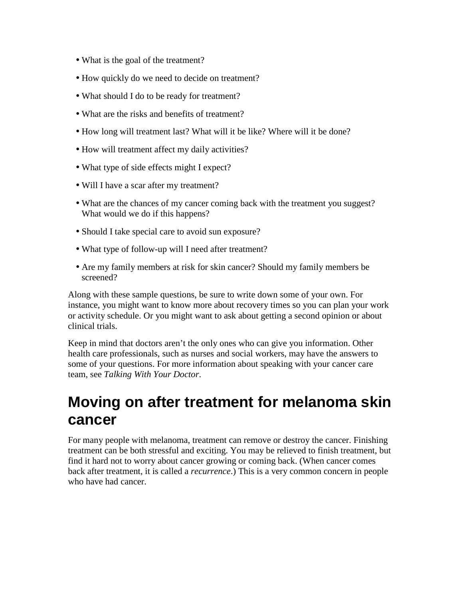- What is the goal of the treatment?
- How quickly do we need to decide on treatment?
- What should I do to be ready for treatment?
- What are the risks and benefits of treatment?
- How long will treatment last? What will it be like? Where will it be done?
- How will treatment affect my daily activities?
- What type of side effects might I expect?
- Will I have a scar after my treatment?
- What are the chances of my cancer coming back with the treatment you suggest? What would we do if this happens?
- Should I take special care to avoid sun exposure?
- What type of follow-up will I need after treatment?
- Are my family members at risk for skin cancer? Should my family members be screened?

Along with these sample questions, be sure to write down some of your own. For instance, you might want to know more about recovery times so you can plan your work or activity schedule. Or you might want to ask about getting a second opinion or about clinical trials.

Keep in mind that doctors aren't the only ones who can give you information. Other health care professionals, such as nurses and social workers, may have the answers to some of your questions. For more information about speaking with your cancer care team, see *Talking With Your Doctor*.

## **Moving on after treatment for melanoma skin cancer**

For many people with melanoma, treatment can remove or destroy the cancer. Finishing treatment can be both stressful and exciting. You may be relieved to finish treatment, but find it hard not to worry about cancer growing or coming back. (When cancer comes back after treatment, it is called a *recurrence*.) This is a very common concern in people who have had cancer.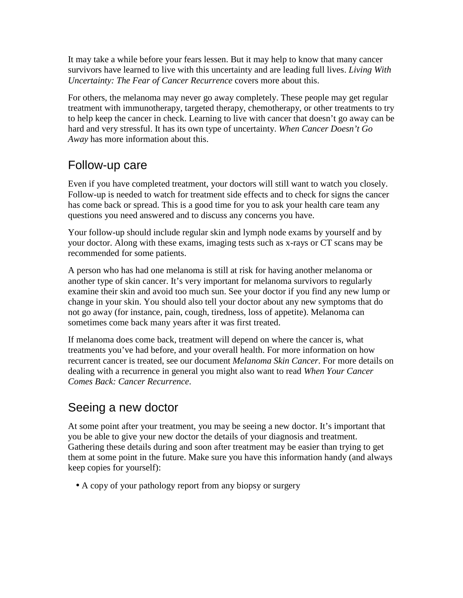It may take a while before your fears lessen. But it may help to know that many cancer survivors have learned to live with this uncertainty and are leading full lives. *Living With Uncertainty: The Fear of Cancer Recurrence* covers more about this.

For others, the melanoma may never go away completely. These people may get regular treatment with immunotherapy, targeted therapy, chemotherapy, or other treatments to try to help keep the cancer in check. Learning to live with cancer that doesn't go away can be hard and very stressful. It has its own type of uncertainty. *When Cancer Doesn't Go Away* has more information about this.

## Follow-up care

Even if you have completed treatment, your doctors will still want to watch you closely. Follow-up is needed to watch for treatment side effects and to check for signs the cancer has come back or spread. This is a good time for you to ask your health care team any questions you need answered and to discuss any concerns you have.

Your follow-up should include regular skin and lymph node exams by yourself and by your doctor. Along with these exams, imaging tests such as x-rays or CT scans may be recommended for some patients.

A person who has had one melanoma is still at risk for having another melanoma or another type of skin cancer. It's very important for melanoma survivors to regularly examine their skin and avoid too much sun. See your doctor if you find any new lump or change in your skin. You should also tell your doctor about any new symptoms that do not go away (for instance, pain, cough, tiredness, loss of appetite). Melanoma can sometimes come back many years after it was first treated.

If melanoma does come back, treatment will depend on where the cancer is, what treatments you've had before, and your overall health. For more information on how recurrent cancer is treated, see our document *Melanoma Skin Cancer*. For more details on dealing with a recurrence in general you might also want to read *When Your Cancer Comes Back: Cancer Recurrence*.

## Seeing a new doctor

At some point after your treatment, you may be seeing a new doctor. It's important that you be able to give your new doctor the details of your diagnosis and treatment. Gathering these details during and soon after treatment may be easier than trying to get them at some point in the future. Make sure you have this information handy (and always keep copies for yourself):

• A copy of your pathology report from any biopsy or surgery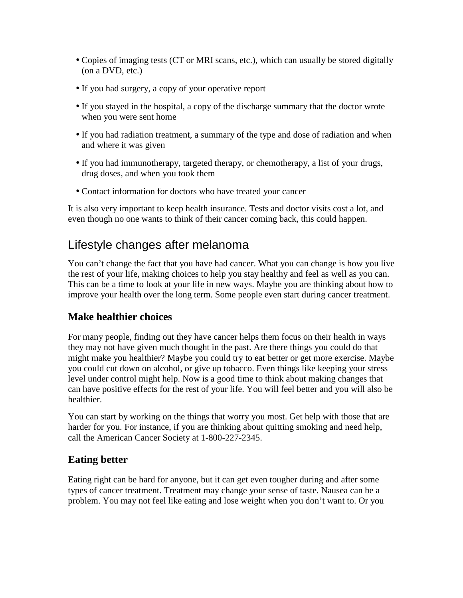- Copies of imaging tests (CT or MRI scans, etc.), which can usually be stored digitally (on a DVD, etc.)
- If you had surgery, a copy of your operative report
- If you stayed in the hospital, a copy of the discharge summary that the doctor wrote when you were sent home
- If you had radiation treatment, a summary of the type and dose of radiation and when and where it was given
- If you had immunotherapy, targeted therapy, or chemotherapy, a list of your drugs, drug doses, and when you took them
- Contact information for doctors who have treated your cancer

It is also very important to keep health insurance. Tests and doctor visits cost a lot, and even though no one wants to think of their cancer coming back, this could happen.

## Lifestyle changes after melanoma

You can't change the fact that you have had cancer. What you can change is how you live the rest of your life, making choices to help you stay healthy and feel as well as you can. This can be a time to look at your life in new ways. Maybe you are thinking about how to improve your health over the long term. Some people even start during cancer treatment.

#### **Make healthier choices**

For many people, finding out they have cancer helps them focus on their health in ways they may not have given much thought in the past. Are there things you could do that might make you healthier? Maybe you could try to eat better or get more exercise. Maybe you could cut down on alcohol, or give up tobacco. Even things like keeping your stress level under control might help. Now is a good time to think about making changes that can have positive effects for the rest of your life. You will feel better and you will also be healthier.

You can start by working on the things that worry you most. Get help with those that are harder for you. For instance, if you are thinking about quitting smoking and need help, call the American Cancer Society at 1-800-227-2345.

#### **Eating better**

Eating right can be hard for anyone, but it can get even tougher during and after some types of cancer treatment. Treatment may change your sense of taste. Nausea can be a problem. You may not feel like eating and lose weight when you don't want to. Or you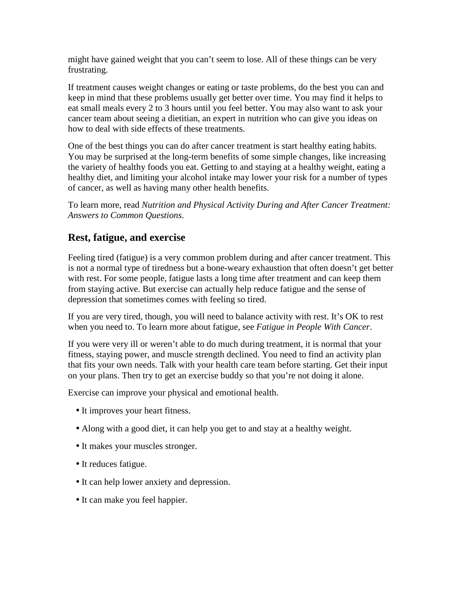might have gained weight that you can't seem to lose. All of these things can be very frustrating.

If treatment causes weight changes or eating or taste problems, do the best you can and keep in mind that these problems usually get better over time. You may find it helps to eat small meals every 2 to 3 hours until you feel better. You may also want to ask your cancer team about seeing a dietitian, an expert in nutrition who can give you ideas on how to deal with side effects of these treatments.

One of the best things you can do after cancer treatment is start healthy eating habits. You may be surprised at the long-term benefits of some simple changes, like increasing the variety of healthy foods you eat. Getting to and staying at a healthy weight, eating a healthy diet, and limiting your alcohol intake may lower your risk for a number of types of cancer, as well as having many other health benefits.

To learn more, read *Nutrition and Physical Activity During and After Cancer Treatment: Answers to Common Questions*.

#### **Rest, fatigue, and exercise**

Feeling tired (fatigue) is a very common problem during and after cancer treatment. This is not a normal type of tiredness but a bone-weary exhaustion that often doesn't get better with rest. For some people, fatigue lasts a long time after treatment and can keep them from staying active. But exercise can actually help reduce fatigue and the sense of depression that sometimes comes with feeling so tired.

If you are very tired, though, you will need to balance activity with rest. It's OK to rest when you need to. To learn more about fatigue, see *Fatigue in People With Cancer*.

If you were very ill or weren't able to do much during treatment, it is normal that your fitness, staying power, and muscle strength declined. You need to find an activity plan that fits your own needs. Talk with your health care team before starting. Get their input on your plans. Then try to get an exercise buddy so that you're not doing it alone.

Exercise can improve your physical and emotional health.

- It improves your heart fitness.
- Along with a good diet, it can help you get to and stay at a healthy weight.
- It makes your muscles stronger.
- It reduces fatigue.
- It can help lower anxiety and depression.
- It can make you feel happier.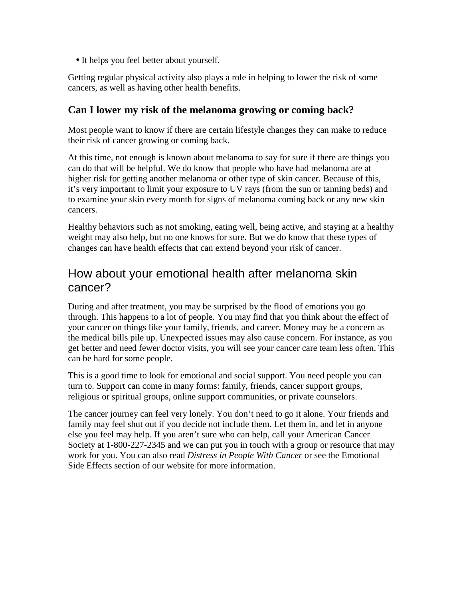• It helps you feel better about yourself.

Getting regular physical activity also plays a role in helping to lower the risk of some cancers, as well as having other health benefits.

#### **Can I lower my risk of the melanoma growing or coming back?**

Most people want to know if there are certain lifestyle changes they can make to reduce their risk of cancer growing or coming back.

At this time, not enough is known about melanoma to say for sure if there are things you can do that will be helpful. We do know that people who have had melanoma are at higher risk for getting another melanoma or other type of skin cancer. Because of this, it's very important to limit your exposure to UV rays (from the sun or tanning beds) and to examine your skin every month for signs of melanoma coming back or any new skin cancers.

Healthy behaviors such as not smoking, eating well, being active, and staying at a healthy weight may also help, but no one knows for sure. But we do know that these types of changes can have health effects that can extend beyond your risk of cancer.

### How about your emotional health after melanoma skin cancer?

During and after treatment, you may be surprised by the flood of emotions you go through. This happens to a lot of people. You may find that you think about the effect of your cancer on things like your family, friends, and career. Money may be a concern as the medical bills pile up. Unexpected issues may also cause concern. For instance, as you get better and need fewer doctor visits, you will see your cancer care team less often. This can be hard for some people.

This is a good time to look for emotional and social support. You need people you can turn to. Support can come in many forms: family, friends, cancer support groups, religious or spiritual groups, online support communities, or private counselors.

The cancer journey can feel very lonely. You don't need to go it alone. Your friends and family may feel shut out if you decide not include them. Let them in, and let in anyone else you feel may help. If you aren't sure who can help, call your American Cancer Society at 1-800-227-2345 and we can put you in touch with a group or resource that may work for you. You can also read *Distress in People With Cancer* or see the Emotional Side Effects section of our website for more information.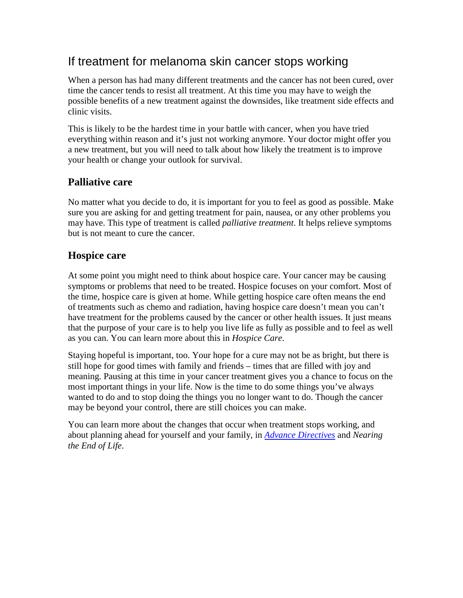## If treatment for melanoma skin cancer stops working

When a person has had many different treatments and the cancer has not been cured, over time the cancer tends to resist all treatment. At this time you may have to weigh the possible benefits of a new treatment against the downsides, like treatment side effects and clinic visits.

This is likely to be the hardest time in your battle with cancer, when you have tried everything within reason and it's just not working anymore. Your doctor might offer you a new treatment, but you will need to talk about how likely the treatment is to improve your health or change your outlook for survival.

### **Palliative care**

No matter what you decide to do, it is important for you to feel as good as possible. Make sure you are asking for and getting treatment for pain, nausea, or any other problems you may have. This type of treatment is called *palliative treatment*. It helps relieve symptoms but is not meant to cure the cancer.

#### **Hospice care**

At some point you might need to think about hospice care. Your cancer may be causing symptoms or problems that need to be treated. Hospice focuses on your comfort. Most of the time, hospice care is given at home. While getting hospice care often means the end of treatments such as chemo and radiation, having hospice care doesn't mean you can't have treatment for the problems caused by the cancer or other health issues. It just means that the purpose of your care is to help you live life as fully as possible and to feel as well as you can. You can learn more about this in *Hospice Care*.

Staying hopeful is important, too. Your hope for a cure may not be as bright, but there is still hope for good times with family and friends – times that are filled with joy and meaning. Pausing at this time in your cancer treatment gives you a chance to focus on the most important things in your life. Now is the time to do some things you've always wanted to do and to stop doing the things you no longer want to do. Though the cancer may be beyond your control, there are still choices you can make.

You can learn more about the changes that occur when treatment stops working, and about planning ahead for yourself and your family, in *Advance Directives* and *Nearing the End of Life*.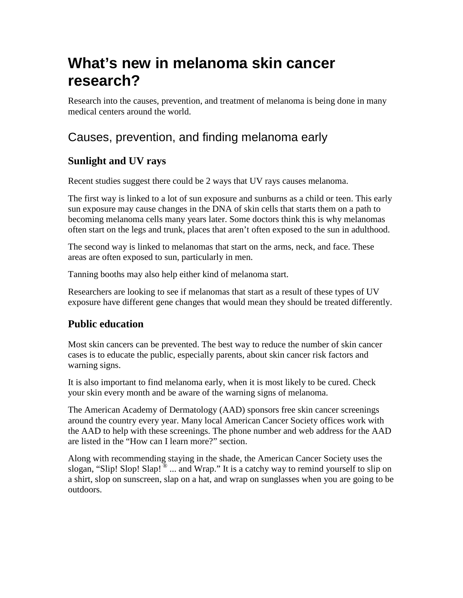# **What's new in melanoma skin cancer research?**

Research into the causes, prevention, and treatment of melanoma is being done in many medical centers around the world.

## Causes, prevention, and finding melanoma early

### **Sunlight and UV rays**

Recent studies suggest there could be 2 ways that UV rays causes melanoma.

The first way is linked to a lot of sun exposure and sunburns as a child or teen. This early sun exposure may cause changes in the DNA of skin cells that starts them on a path to becoming melanoma cells many years later. Some doctors think this is why melanomas often start on the legs and trunk, places that aren't often exposed to the sun in adulthood.

The second way is linked to melanomas that start on the arms, neck, and face. These areas are often exposed to sun, particularly in men.

Tanning booths may also help either kind of melanoma start.

Researchers are looking to see if melanomas that start as a result of these types of UV exposure have different gene changes that would mean they should be treated differently.

#### **Public education**

Most skin cancers can be prevented. The best way to reduce the number of skin cancer cases is to educate the public, especially parents, about skin cancer risk factors and warning signs.

It is also important to find melanoma early, when it is most likely to be cured. Check your skin every month and be aware of the warning signs of melanoma.

The American Academy of Dermatology (AAD) sponsors free skin cancer screenings around the country every year. Many local American Cancer Society offices work with the AAD to help with these screenings. The phone number and web address for the AAD are listed in the "How can I learn more?" section.

Along with recommending staying in the shade, the American Cancer Society uses the slogan, "Slip! Slop! Slap!  $^{\circ}$  ... and Wrap." It is a catchy way to remind yourself to slip on a shirt, slop on sunscreen, slap on a hat, and wrap on sunglasses when you are going to be outdoors.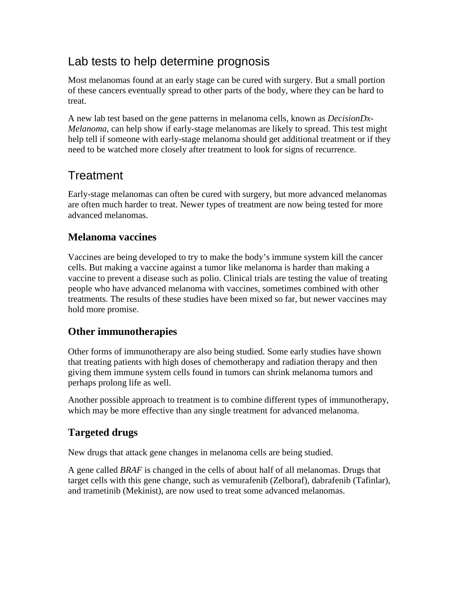## Lab tests to help determine prognosis

Most melanomas found at an early stage can be cured with surgery. But a small portion of these cancers eventually spread to other parts of the body, where they can be hard to treat.

A new lab test based on the gene patterns in melanoma cells, known as *DecisionDx-Melanoma*, can help show if early-stage melanomas are likely to spread. This test might help tell if someone with early-stage melanoma should get additional treatment or if they need to be watched more closely after treatment to look for signs of recurrence.

## **Treatment**

Early-stage melanomas can often be cured with surgery, but more advanced melanomas are often much harder to treat. Newer types of treatment are now being tested for more advanced melanomas.

#### **Melanoma vaccines**

Vaccines are being developed to try to make the body's immune system kill the cancer cells. But making a vaccine against a tumor like melanoma is harder than making a vaccine to prevent a disease such as polio. Clinical trials are testing the value of treating people who have advanced melanoma with vaccines, sometimes combined with other treatments. The results of these studies have been mixed so far, but newer vaccines may hold more promise.

#### **Other immunotherapies**

Other forms of immunotherapy are also being studied. Some early studies have shown that treating patients with high doses of chemotherapy and radiation therapy and then giving them immune system cells found in tumors can shrink melanoma tumors and perhaps prolong life as well.

Another possible approach to treatment is to combine different types of immunotherapy, which may be more effective than any single treatment for advanced melanoma.

### **Targeted drugs**

New drugs that attack gene changes in melanoma cells are being studied.

A gene called *BRAF* is changed in the cells of about half of all melanomas. Drugs that target cells with this gene change, such as vemurafenib (Zelboraf), dabrafenib (Tafinlar), and trametinib (Mekinist), are now used to treat some advanced melanomas.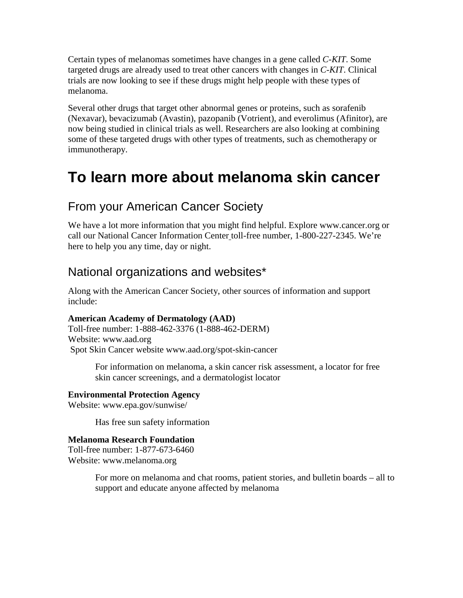Certain types of melanomas sometimes have changes in a gene called *C-KIT*. Some targeted drugs are already used to treat other cancers with changes in *C-KIT*. Clinical trials are now looking to see if these drugs might help people with these types of melanoma.

Several other drugs that target other abnormal genes or proteins, such as sorafenib (Nexavar), bevacizumab (Avastin), pazopanib (Votrient), and everolimus (Afinitor), are now being studied in clinical trials as well. Researchers are also looking at combining some of these targeted drugs with other types of treatments, such as chemotherapy or immunotherapy.

## **To learn more about melanoma skin cancer**

## From your American Cancer Society

We have a lot more information that you might find helpful. Explore www.cancer.org or call our National Cancer Information Center toll-free number, 1-800-227-2345. We're here to help you any time, day or night.

## National organizations and websites\*

Along with the American Cancer Society, other sources of information and support include:

#### **American Academy of Dermatology (AAD)**

Toll-free number: 1-888-462-3376 (1-888-462-DERM) Website: www.aad.org Spot Skin Cancer website www.aad.org/spot-skin-cancer

> For information on melanoma, a skin cancer risk assessment, a locator for free skin cancer screenings, and a dermatologist locator

**Environmental Protection Agency**  Website: www.epa.gov/sunwise/

Has free sun safety information

#### **Melanoma Research Foundation**

Toll-free number: 1-877-673-6460 Website: www.melanoma.org

> For more on melanoma and chat rooms, patient stories, and bulletin boards – all to support and educate anyone affected by melanoma